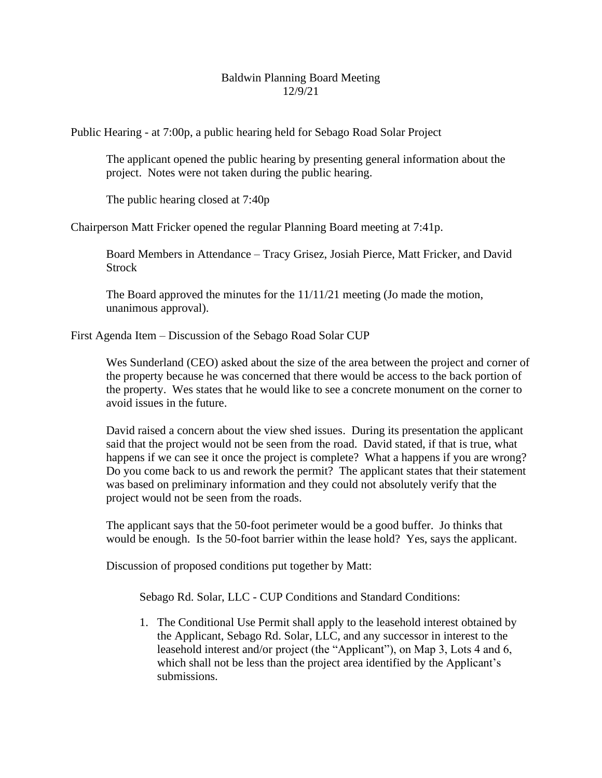## Baldwin Planning Board Meeting 12/9/21

Public Hearing - at 7:00p, a public hearing held for Sebago Road Solar Project

The applicant opened the public hearing by presenting general information about the project. Notes were not taken during the public hearing.

The public hearing closed at 7:40p

Chairperson Matt Fricker opened the regular Planning Board meeting at 7:41p.

Board Members in Attendance – Tracy Grisez, Josiah Pierce, Matt Fricker, and David **Strock** 

The Board approved the minutes for the  $11/11/21$  meeting (Jo made the motion, unanimous approval).

First Agenda Item – Discussion of the Sebago Road Solar CUP

Wes Sunderland (CEO) asked about the size of the area between the project and corner of the property because he was concerned that there would be access to the back portion of the property. Wes states that he would like to see a concrete monument on the corner to avoid issues in the future.

David raised a concern about the view shed issues. During its presentation the applicant said that the project would not be seen from the road. David stated, if that is true, what happens if we can see it once the project is complete? What a happens if you are wrong? Do you come back to us and rework the permit? The applicant states that their statement was based on preliminary information and they could not absolutely verify that the project would not be seen from the roads.

The applicant says that the 50-foot perimeter would be a good buffer. Jo thinks that would be enough. Is the 50-foot barrier within the lease hold? Yes, says the applicant.

Discussion of proposed conditions put together by Matt:

Sebago Rd. Solar, LLC - CUP Conditions and Standard Conditions:

1. The Conditional Use Permit shall apply to the leasehold interest obtained by the Applicant, Sebago Rd. Solar, LLC, and any successor in interest to the leasehold interest and/or project (the "Applicant"), on Map 3, Lots 4 and 6, which shall not be less than the project area identified by the Applicant's submissions.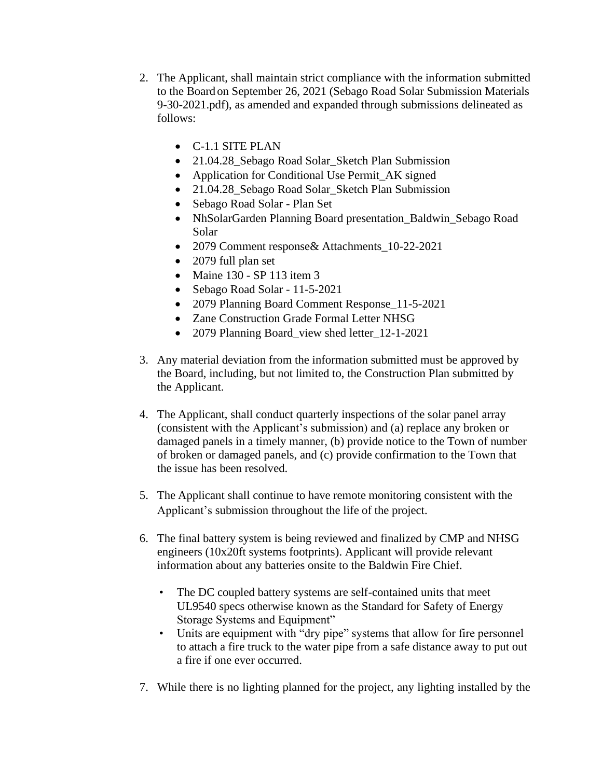- 2. The Applicant, shall maintain strict compliance with the information submitted to the Board on September 26, 2021 (Sebago Road Solar Submission Materials 9-30-2021.pdf), as amended and expanded through submissions delineated as follows:
	- C-1.1 SITE PLAN
	- 21.04.28\_Sebago Road Solar\_Sketch Plan Submission
	- Application for Conditional Use Permit AK signed
	- 21.04.28\_Sebago Road Solar\_Sketch Plan Submission
	- Sebago Road Solar Plan Set
	- NhSolarGarden Planning Board presentation\_Baldwin\_Sebago Road Solar
	- 2079 Comment response& Attachments\_10-22-2021
	- 2079 full plan set
	- Maine 130 SP 113 item 3
	- Sebago Road Solar 11-5-2021
	- 2079 Planning Board Comment Response 11-5-2021
	- Zane Construction Grade Formal Letter NHSG
	- 2079 Planning Board\_view shed letter\_12-1-2021
- 3. Any material deviation from the information submitted must be approved by the Board, including, but not limited to, the Construction Plan submitted by the Applicant.
- 4. The Applicant, shall conduct quarterly inspections of the solar panel array (consistent with the Applicant's submission) and (a) replace any broken or damaged panels in a timely manner, (b) provide notice to the Town of number of broken or damaged panels, and (c) provide confirmation to the Town that the issue has been resolved.
- 5. The Applicant shall continue to have remote monitoring consistent with the Applicant's submission throughout the life of the project.
- 6. The final battery system is being reviewed and finalized by CMP and NHSG engineers (10x20ft systems footprints). Applicant will provide relevant information about any batteries onsite to the Baldwin Fire Chief.
	- The DC coupled battery systems are self-contained units that meet UL9540 specs otherwise known as the Standard for Safety of Energy Storage Systems and Equipment"
	- Units are equipment with "dry pipe" systems that allow for fire personnel to attach a fire truck to the water pipe from a safe distance away to put out a fire if one ever occurred.
- 7. While there is no lighting planned for the project, any lighting installed by the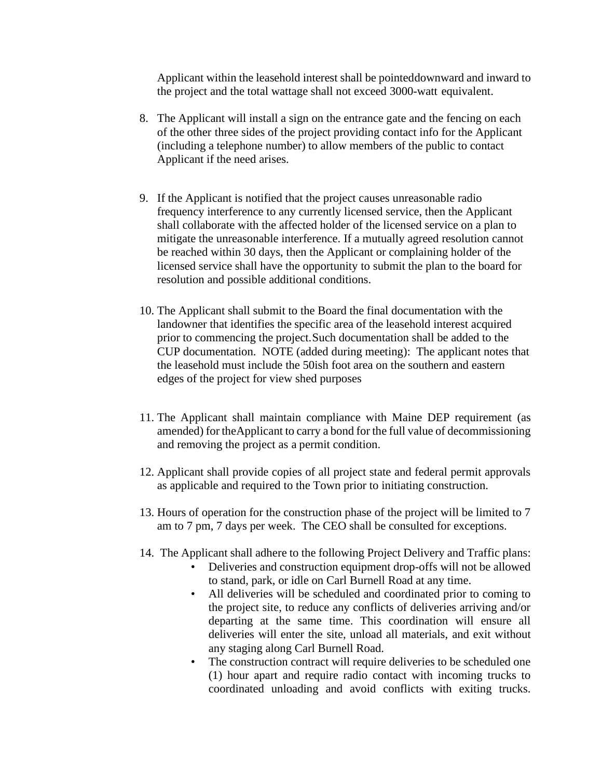Applicant within the leasehold interest shall be pointeddownward and inward to the project and the total wattage shall not exceed 3000-watt equivalent.

- 8. The Applicant will install a sign on the entrance gate and the fencing on each of the other three sides of the project providing contact info for the Applicant (including a telephone number) to allow members of the public to contact Applicant if the need arises.
- 9. If the Applicant is notified that the project causes unreasonable radio frequency interference to any currently licensed service, then the Applicant shall collaborate with the affected holder of the licensed service on a plan to mitigate the unreasonable interference. If a mutually agreed resolution cannot be reached within 30 days, then the Applicant or complaining holder of the licensed service shall have the opportunity to submit the plan to the board for resolution and possible additional conditions.
- 10. The Applicant shall submit to the Board the final documentation with the landowner that identifies the specific area of the leasehold interest acquired prior to commencing the project. Such documentation shall be added to the CUP documentation. NOTE (added during meeting): The applicant notes that the leasehold must include the 50ish foot area on the southern and eastern edges of the project for view shed purposes
- 11. The Applicant shall maintain compliance with Maine DEP requirement (as amended) for theApplicant to carry a bond for the full value of decommissioning and removing the project as a permit condition.
- 12. Applicant shall provide copies of all project state and federal permit approvals as applicable and required to the Town prior to initiating construction.
- 13. Hours of operation for the construction phase of the project will be limited to 7 am to 7 pm, 7 days per week. The CEO shall be consulted for exceptions.
- 14. The Applicant shall adhere to the following Project Delivery and Traffic plans:
	- Deliveries and construction equipment drop-offs will not be allowed to stand, park, or idle on Carl Burnell Road at any time.
	- All deliveries will be scheduled and coordinated prior to coming to the project site, to reduce any conflicts of deliveries arriving and/or departing at the same time. This coordination will ensure all deliveries will enter the site, unload all materials, and exit without any staging along Carl Burnell Road.
	- The construction contract will require deliveries to be scheduled one (1) hour apart and require radio contact with incoming trucks to coordinated unloading and avoid conflicts with exiting trucks.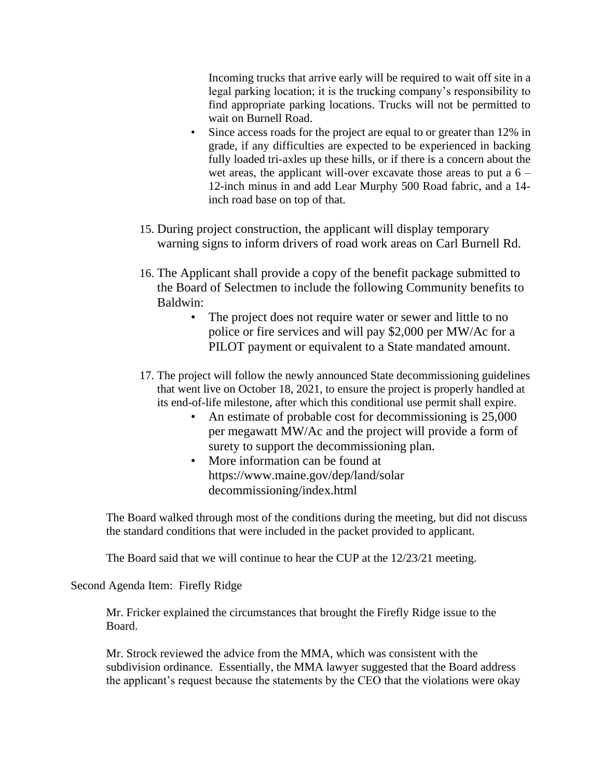Incoming trucks that arrive early will be required to wait off site in a legal parking location; it is the trucking company's responsibility to find appropriate parking locations. Trucks will not be permitted to wait on Burnell Road.

- Since access roads for the project are equal to or greater than 12% in grade, if any difficulties are expected to be experienced in backing fully loaded tri-axles up these hills, or if there is a concern about the wet areas, the applicant will-over excavate those areas to put a  $6 -$ 12-inch minus in and add Lear Murphy 500 Road fabric, and a 14 inch road base on top of that.
- 15. During project construction, the applicant will display temporary warning signs to inform drivers of road work areas on Carl Burnell Rd.
- 16. The Applicant shall provide a copy of the benefit package submitted to the Board of Selectmen to include the following Community benefits to Baldwin:
	- The project does not require water or sewer and little to no police or fire services and will pay \$2,000 per MW/Ac for a PILOT payment or equivalent to a State mandated amount.
- 17. The project will follow the newly announced State decommissioning guidelines that went live on October 18, 2021, to ensure the project is properly handled at its end-of-life milestone, after which this conditional use permit shall expire.
	- An estimate of probable cost for decommissioning is 25,000 per megawatt MW/Ac and the project will provide a form of surety to support the decommissioning plan.
	- More information can be found at https://www.maine.gov/dep/land/solar decommissioning/index.html

The Board walked through most of the conditions during the meeting, but did not discuss the standard conditions that were included in the packet provided to applicant.

The Board said that we will continue to hear the CUP at the 12/23/21 meeting.

Second Agenda Item: Firefly Ridge

Mr. Fricker explained the circumstances that brought the Firefly Ridge issue to the Board.

Mr. Strock reviewed the advice from the MMA, which was consistent with the subdivision ordinance. Essentially, the MMA lawyer suggested that the Board address the applicant's request because the statements by the CEO that the violations were okay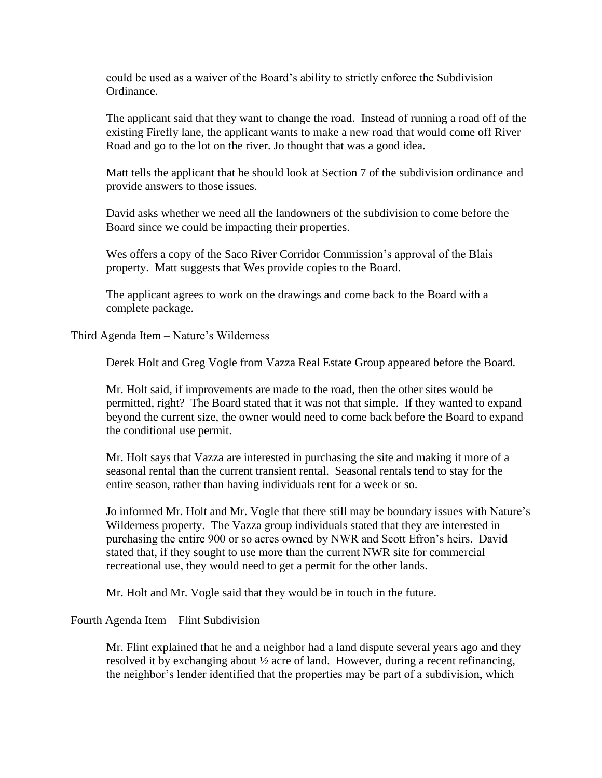could be used as a waiver of the Board's ability to strictly enforce the Subdivision Ordinance.

The applicant said that they want to change the road. Instead of running a road off of the existing Firefly lane, the applicant wants to make a new road that would come off River Road and go to the lot on the river. Jo thought that was a good idea.

Matt tells the applicant that he should look at Section 7 of the subdivision ordinance and provide answers to those issues.

David asks whether we need all the landowners of the subdivision to come before the Board since we could be impacting their properties.

Wes offers a copy of the Saco River Corridor Commission's approval of the Blais property. Matt suggests that Wes provide copies to the Board.

The applicant agrees to work on the drawings and come back to the Board with a complete package.

Third Agenda Item – Nature's Wilderness

Derek Holt and Greg Vogle from Vazza Real Estate Group appeared before the Board.

Mr. Holt said, if improvements are made to the road, then the other sites would be permitted, right? The Board stated that it was not that simple. If they wanted to expand beyond the current size, the owner would need to come back before the Board to expand the conditional use permit.

Mr. Holt says that Vazza are interested in purchasing the site and making it more of a seasonal rental than the current transient rental. Seasonal rentals tend to stay for the entire season, rather than having individuals rent for a week or so.

Jo informed Mr. Holt and Mr. Vogle that there still may be boundary issues with Nature's Wilderness property. The Vazza group individuals stated that they are interested in purchasing the entire 900 or so acres owned by NWR and Scott Efron's heirs. David stated that, if they sought to use more than the current NWR site for commercial recreational use, they would need to get a permit for the other lands.

Mr. Holt and Mr. Vogle said that they would be in touch in the future.

Fourth Agenda Item – Flint Subdivision

Mr. Flint explained that he and a neighbor had a land dispute several years ago and they resolved it by exchanging about ½ acre of land. However, during a recent refinancing, the neighbor's lender identified that the properties may be part of a subdivision, which